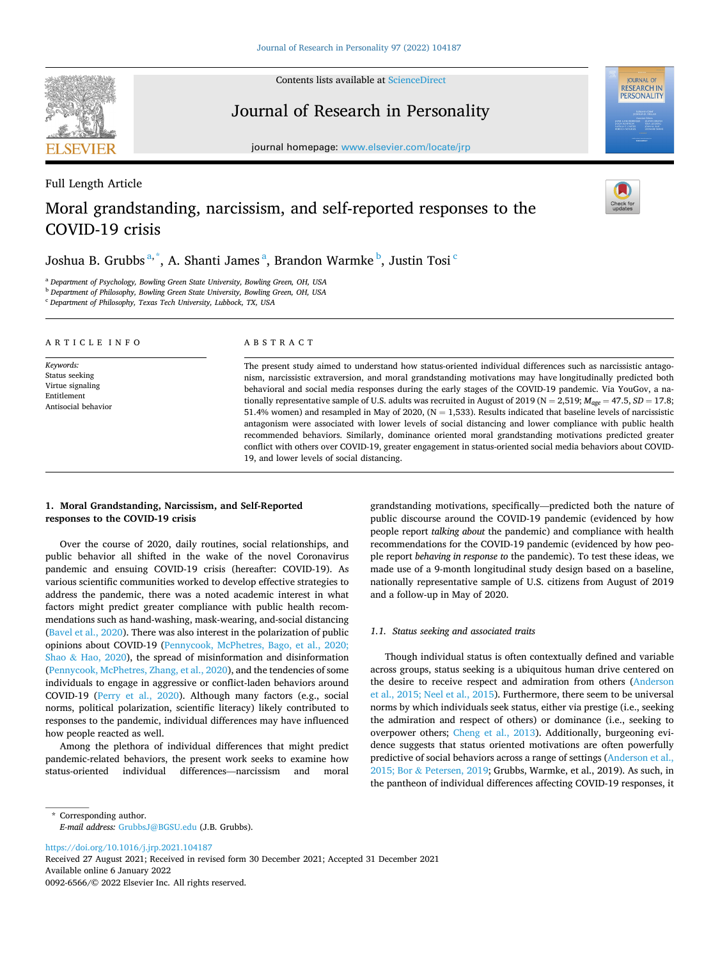Contents lists available at [ScienceDirect](www.sciencedirect.com/science/journal/00926566)

Journal of Research in Personality

journal homepage: [www.elsevier.com/locate/jrp](https://www.elsevier.com/locate/jrp)

# Full Length Article Moral grandstanding, narcissism, and self-reported responses to the COVID-19 crisis

Joshua B. Grubbs $^{\mathrm{a},\mathrm{*}}$ , A. Shanti James $^{\mathrm{a}}$ , Brandon Warmke $^{\mathrm{b}}$ , Justin Tosi $^{\mathrm{c}}$ 

<sup>a</sup> *Department of Psychology, Bowling Green State University, Bowling Green, OH, USA* 

<sup>b</sup> *Department of Philosophy, Bowling Green State University, Bowling Green, OH, USA* 

<sup>c</sup> *Department of Philosophy, Texas Tech University, Lubbock, TX, USA* 

| ARTICLE INFO                                                                          | ABSTRACT                                                                                                                                                                                                                                                                                                                                                                                                                                                                                                                                                                                                                                                                                                                                                                                                                                                                                                                                                                        |  |  |  |  |  |  |
|---------------------------------------------------------------------------------------|---------------------------------------------------------------------------------------------------------------------------------------------------------------------------------------------------------------------------------------------------------------------------------------------------------------------------------------------------------------------------------------------------------------------------------------------------------------------------------------------------------------------------------------------------------------------------------------------------------------------------------------------------------------------------------------------------------------------------------------------------------------------------------------------------------------------------------------------------------------------------------------------------------------------------------------------------------------------------------|--|--|--|--|--|--|
| Keywords:<br>Status seeking<br>Virtue signaling<br>Entitlement<br>Antisocial behavior | The present study aimed to understand how status-oriented individual differences such as narcissistic antago-<br>nism, narcissistic extraversion, and moral grandstanding motivations may have longitudinally predicted both<br>behavioral and social media responses during the early stages of the COVID-19 pandemic. Via YouGov, a na-<br>tionally representative sample of U.S. adults was recruited in August of 2019 (N = 2,519; $M_{gge}$ = 47.5, SD = 17.8;<br>51.4% women) and resampled in May of 2020, ( $N = 1,533$ ). Results indicated that baseline levels of narcissistic<br>antagonism were associated with lower levels of social distancing and lower compliance with public health<br>recommended behaviors. Similarly, dominance oriented moral grandstanding motivations predicted greater<br>conflict with others over COVID-19, greater engagement in status-oriented social media behaviors about COVID-<br>19, and lower levels of social distancing. |  |  |  |  |  |  |

# **1. Moral Grandstanding, Narcissism, and Self-Reported responses to the COVID-19 crisis**

Over the course of 2020, daily routines, social relationships, and public behavior all shifted in the wake of the novel Coronavirus pandemic and ensuing COVID-19 crisis (hereafter: COVID-19). As various scientific communities worked to develop effective strategies to address the pandemic, there was a noted academic interest in what factors might predict greater compliance with public health recommendations such as hand-washing, mask-wearing, and-social distancing ([Bavel et al., 2020\)](#page-8-0). There was also interest in the polarization of public opinions about COVID-19 [\(Pennycook, McPhetres, Bago, et al., 2020;](#page-9-0)  Shao & [Hao, 2020\)](#page-9-0), the spread of misinformation and disinformation ([Pennycook, McPhetres, Zhang, et al., 2020](#page-9-0)), and the tendencies of some individuals to engage in aggressive or conflict-laden behaviors around COVID-19 ([Perry et al., 2020](#page-9-0)). Although many factors (e.g., social norms, political polarization, scientific literacy) likely contributed to responses to the pandemic, individual differences may have influenced how people reacted as well.

Among the plethora of individual differences that might predict pandemic-related behaviors, the present work seeks to examine how status-oriented individual differences—narcissism and moral grandstanding motivations, specifically—predicted both the nature of public discourse around the COVID-19 pandemic (evidenced by how people report *talking about* the pandemic) and compliance with health recommendations for the COVID-19 pandemic (evidenced by how people report *behaving in response to* the pandemic). To test these ideas, we made use of a 9-month longitudinal study design based on a baseline, nationally representative sample of U.S. citizens from August of 2019 and a follow-up in May of 2020.

## *1.1. Status seeking and associated traits*

Though individual status is often contextually defined and variable across groups, status seeking is a ubiquitous human drive centered on the desire to receive respect and admiration from others [\(Anderson](#page-8-0)  [et al., 2015; Neel et al., 2015\)](#page-8-0). Furthermore, there seem to be universal norms by which individuals seek status, either via prestige (i.e., seeking the admiration and respect of others) or dominance (i.e., seeking to overpower others; [Cheng et al., 2013\)](#page-8-0). Additionally, burgeoning evidence suggests that status oriented motivations are often powerfully predictive of social behaviors across a range of settings ([Anderson et al.,](#page-8-0)  2015; Bor & [Petersen, 2019](#page-8-0); Grubbs, Warmke, et al., 2019). As such, in the pantheon of individual differences affecting COVID-19 responses, it

<https://doi.org/10.1016/j.jrp.2021.104187>

Available online 6 January 2022 0092-6566/© 2022 Elsevier Inc. All rights reserved. Received 27 August 2021; Received in revised form 30 December 2021; Accepted 31 December 2021





JOURNAL OF<br>RESEARCH IN PERSONALITY

<sup>\*</sup> Corresponding author. *E-mail address:* [GrubbsJ@BGSU.edu](mailto:GrubbsJ@BGSU.edu) (J.B. Grubbs).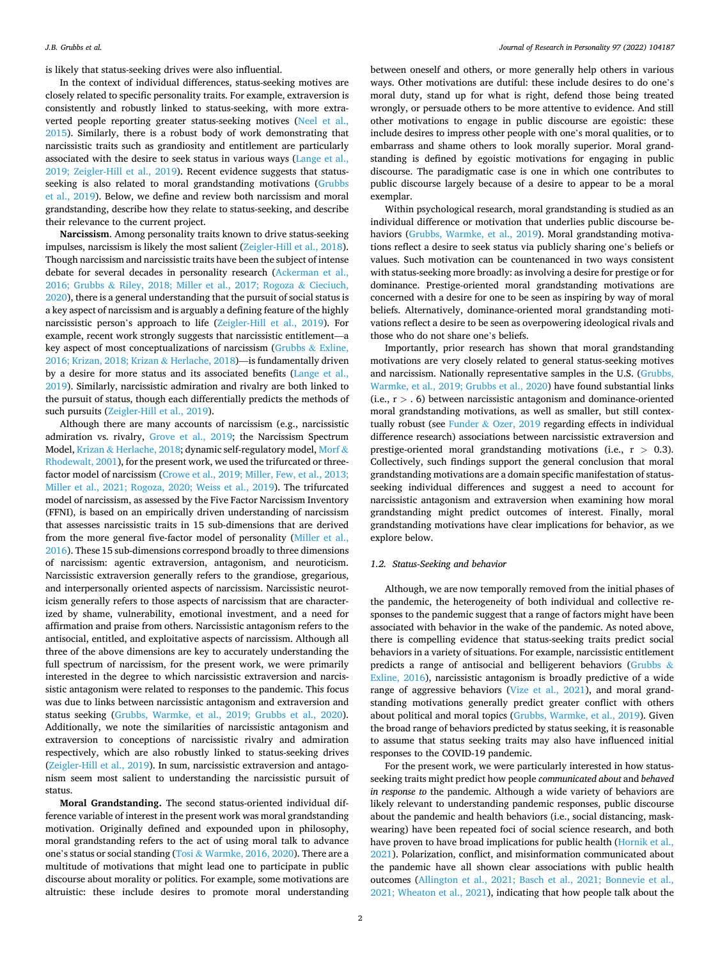is likely that status-seeking drives were also influential.

In the context of individual differences, status-seeking motives are closely related to specific personality traits. For example, extraversion is consistently and robustly linked to status-seeking, with more extraverted people reporting greater status-seeking motives ([Neel et al.,](#page-9-0)  [2015\)](#page-9-0). Similarly, there is a robust body of work demonstrating that narcissistic traits such as grandiosity and entitlement are particularly associated with the desire to seek status in various ways ([Lange et al.,](#page-8-0)  [2019; Zeigler-Hill et al., 2019](#page-8-0)). Recent evidence suggests that statusseeking is also related to moral grandstanding motivations [\(Grubbs](#page-8-0)  [et al., 2019\)](#page-8-0). Below, we define and review both narcissism and moral grandstanding, describe how they relate to status-seeking, and describe their relevance to the current project.

**Narcissism**. Among personality traits known to drive status-seeking impulses, narcissism is likely the most salient [\(Zeigler-Hill et al., 2018](#page-9-0)). Though narcissism and narcissistic traits have been the subject of intense debate for several decades in personality research [\(Ackerman et al.,](#page-8-0)  2016; Grubbs & [Riley, 2018; Miller et al., 2017; Rogoza](#page-8-0) & Cieciuch, [2020\)](#page-8-0), there is a general understanding that the pursuit of social status is a key aspect of narcissism and is arguably a defining feature of the highly narcissistic person's approach to life ([Zeigler-Hill et al., 2019\)](#page-9-0). For example, recent work strongly suggests that narcissistic entitlement—a key aspect of most conceptualizations of narcissism ([Grubbs](#page-8-0) & Exline, [2016; Krizan, 2018; Krizan](#page-8-0) & Herlache, 2018)—is fundamentally driven by a desire for more status and its associated benefits [\(Lange et al.,](#page-8-0)  [2019\)](#page-8-0). Similarly, narcissistic admiration and rivalry are both linked to the pursuit of status, though each differentially predicts the methods of such pursuits ([Zeigler-Hill et al., 2019](#page-9-0)).

Although there are many accounts of narcissism (e.g., narcissistic admiration vs. rivalry, [Grove et al., 2019](#page-8-0); the Narcissism Spectrum Model, Krizan & [Herlache, 2018](#page-8-0); dynamic self-regulatory model, [Morf](#page-9-0) & [Rhodewalt, 2001](#page-9-0)), for the present work, we used the trifurcated or threefactor model of narcissism ([Crowe et al., 2019; Miller, Few, et al., 2013;](#page-8-0)  [Miller et al., 2021; Rogoza, 2020; Weiss et al., 2019\)](#page-8-0). The trifurcated model of narcissism, as assessed by the Five Factor Narcissism Inventory (FFNI), is based on an empirically driven understanding of narcissism that assesses narcissistic traits in 15 sub-dimensions that are derived from the more general five-factor model of personality [\(Miller et al.,](#page-9-0)  [2016\)](#page-9-0). These 15 sub-dimensions correspond broadly to three dimensions of narcissism: agentic extraversion, antagonism, and neuroticism. Narcissistic extraversion generally refers to the grandiose, gregarious, and interpersonally oriented aspects of narcissism. Narcissistic neuroticism generally refers to those aspects of narcissism that are characterized by shame, vulnerability, emotional investment, and a need for affirmation and praise from others. Narcissistic antagonism refers to the antisocial, entitled, and exploitative aspects of narcissism. Although all three of the above dimensions are key to accurately understanding the full spectrum of narcissism, for the present work, we were primarily interested in the degree to which narcissistic extraversion and narcissistic antagonism were related to responses to the pandemic. This focus was due to links between narcissistic antagonism and extraversion and status seeking [\(Grubbs, Warmke, et al., 2019; Grubbs et al., 2020](#page-8-0)). Additionally, we note the similarities of narcissistic antagonism and extraversion to conceptions of narcissistic rivalry and admiration respectively, which are also robustly linked to status-seeking drives ([Zeigler-Hill et al., 2019](#page-9-0)). In sum, narcissistic extraversion and antagonism seem most salient to understanding the narcissistic pursuit of status.

**Moral Grandstanding.** The second status-oriented individual difference variable of interest in the present work was moral grandstanding motivation. Originally defined and expounded upon in philosophy, moral grandstanding refers to the act of using moral talk to advance one's status or social standing (Tosi & [Warmke, 2016, 2020](#page-9-0)). There are a multitude of motivations that might lead one to participate in public discourse about morality or politics. For example, some motivations are altruistic: these include desires to promote moral understanding

between oneself and others, or more generally help others in various ways. Other motivations are dutiful: these include desires to do one's moral duty, stand up for what is right, defend those being treated wrongly, or persuade others to be more attentive to evidence. And still other motivations to engage in public discourse are egoistic: these include desires to impress other people with one's moral qualities, or to embarrass and shame others to look morally superior. Moral grandstanding is defined by egoistic motivations for engaging in public discourse. The paradigmatic case is one in which one contributes to public discourse largely because of a desire to appear to be a moral exemplar.

Within psychological research, moral grandstanding is studied as an individual difference or motivation that underlies public discourse behaviors [\(Grubbs, Warmke, et al., 2019](#page-8-0)). Moral grandstanding motivations reflect a desire to seek status via publicly sharing one's beliefs or values. Such motivation can be countenanced in two ways consistent with status-seeking more broadly: as involving a desire for prestige or for dominance. Prestige-oriented moral grandstanding motivations are concerned with a desire for one to be seen as inspiring by way of moral beliefs. Alternatively, dominance-oriented moral grandstanding motivations reflect a desire to be seen as overpowering ideological rivals and those who do not share one's beliefs.

Importantly, prior research has shown that moral grandstanding motivations are very closely related to general status-seeking motives and narcissism. Nationally representative samples in the U.S. [\(Grubbs,](#page-8-0)  [Warmke, et al., 2019; Grubbs et al., 2020](#page-8-0)) have found substantial links (i.e., r *>* . 6) between narcissistic antagonism and dominance-oriented moral grandstanding motivations, as well as smaller, but still contextually robust (see Funder & [Ozer, 2019](#page-8-0) regarding effects in individual difference research) associations between narcissistic extraversion and prestige-oriented moral grandstanding motivations (i.e., r *>* 0.3). Collectively, such findings support the general conclusion that moral grandstanding motivations are a domain specific manifestation of statusseeking individual differences and suggest a need to account for narcissistic antagonism and extraversion when examining how moral grandstanding might predict outcomes of interest. Finally, moral grandstanding motivations have clear implications for behavior, as we explore below.

## *1.2. Status-Seeking and behavior*

Although, we are now temporally removed from the initial phases of the pandemic, the heterogeneity of both individual and collective responses to the pandemic suggest that a range of factors might have been associated with behavior in the wake of the pandemic. As noted above, there is compelling evidence that status-seeking traits predict social behaviors in a variety of situations. For example, narcissistic entitlement predicts a range of antisocial and belligerent behaviors ([Grubbs](#page-8-0)  $\&$ [Exline, 2016\)](#page-8-0), narcissistic antagonism is broadly predictive of a wide range of aggressive behaviors [\(Vize et al., 2021](#page-9-0)), and moral grandstanding motivations generally predict greater conflict with others about political and moral topics [\(Grubbs, Warmke, et al., 2019](#page-8-0)). Given the broad range of behaviors predicted by status seeking, it is reasonable to assume that status seeking traits may also have influenced initial responses to the COVID-19 pandemic.

For the present work, we were particularly interested in how statusseeking traits might predict how people *communicated about* and *behaved in response to* the pandemic. Although a wide variety of behaviors are likely relevant to understanding pandemic responses, public discourse about the pandemic and health behaviors (i.e., social distancing, maskwearing) have been repeated foci of social science research, and both have proven to have broad implications for public health [\(Hornik et al.,](#page-8-0)  [2021\)](#page-8-0). Polarization, conflict, and misinformation communicated about the pandemic have all shown clear associations with public health outcomes [\(Allington et al., 2021; Basch et al., 2021; Bonnevie et al.,](#page-8-0)  [2021; Wheaton et al., 2021](#page-8-0)), indicating that how people talk about the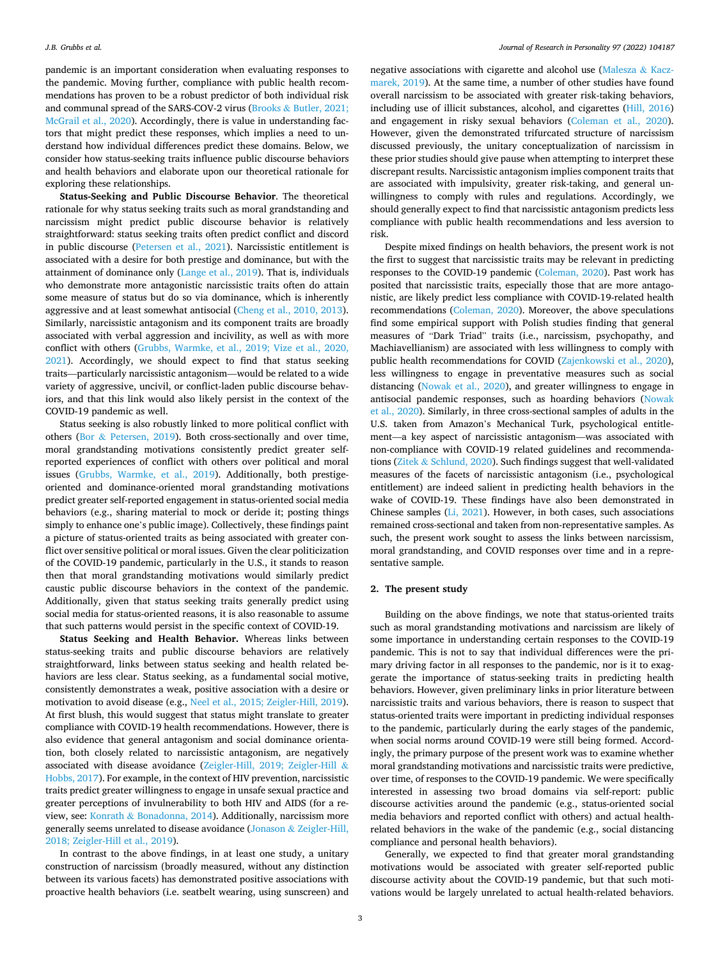pandemic is an important consideration when evaluating responses to the pandemic. Moving further, compliance with public health recommendations has proven to be a robust predictor of both individual risk and communal spread of the SARS-COV-2 virus (Brooks & [Butler, 2021;](#page-8-0)  [McGrail et al., 2020\)](#page-8-0). Accordingly, there is value in understanding factors that might predict these responses, which implies a need to understand how individual differences predict these domains. Below, we consider how status-seeking traits influence public discourse behaviors and health behaviors and elaborate upon our theoretical rationale for exploring these relationships.

**Status-Seeking and Public Discourse Behavior**. The theoretical rationale for why status seeking traits such as moral grandstanding and narcissism might predict public discourse behavior is relatively straightforward: status seeking traits often predict conflict and discord in public discourse [\(Petersen et al., 2021\)](#page-9-0). Narcissistic entitlement is associated with a desire for both prestige and dominance, but with the attainment of dominance only ([Lange et al., 2019](#page-8-0)). That is, individuals who demonstrate more antagonistic narcissistic traits often do attain some measure of status but do so via dominance, which is inherently aggressive and at least somewhat antisocial [\(Cheng et al., 2010, 2013](#page-8-0)). Similarly, narcissistic antagonism and its component traits are broadly associated with verbal aggression and incivility, as well as with more conflict with others [\(Grubbs, Warmke, et al., 2019; Vize et al., 2020,](#page-8-0)  [2021\)](#page-8-0). Accordingly, we should expect to find that status seeking traits—particularly narcissistic antagonism—would be related to a wide variety of aggressive, uncivil, or conflict-laden public discourse behaviors, and that this link would also likely persist in the context of the COVID-19 pandemic as well.

Status seeking is also robustly linked to more political conflict with others (Bor & [Petersen, 2019\)](#page-8-0). Both cross-sectionally and over time, moral grandstanding motivations consistently predict greater selfreported experiences of conflict with others over political and moral issues [\(Grubbs, Warmke, et al., 2019\)](#page-8-0). Additionally, both prestigeoriented and dominance-oriented moral grandstanding motivations predict greater self-reported engagement in status-oriented social media behaviors (e.g., sharing material to mock or deride it; posting things simply to enhance one's public image). Collectively, these findings paint a picture of status-oriented traits as being associated with greater conflict over sensitive political or moral issues. Given the clear politicization of the COVID-19 pandemic, particularly in the U.S., it stands to reason then that moral grandstanding motivations would similarly predict caustic public discourse behaviors in the context of the pandemic. Additionally, given that status seeking traits generally predict using social media for status-oriented reasons, it is also reasonable to assume that such patterns would persist in the specific context of COVID-19.

**Status Seeking and Health Behavior.** Whereas links between status-seeking traits and public discourse behaviors are relatively straightforward, links between status seeking and health related behaviors are less clear. Status seeking, as a fundamental social motive, consistently demonstrates a weak, positive association with a desire or motivation to avoid disease (e.g., [Neel et al., 2015; Zeigler-Hill, 2019](#page-9-0)). At first blush, this would suggest that status might translate to greater compliance with COVID-19 health recommendations. However, there is also evidence that general antagonism and social dominance orientation, both closely related to narcissistic antagonism, are negatively associated with disease avoidance ([Zeigler-Hill, 2019; Zeigler-Hill](#page-9-0) & [Hobbs, 2017\)](#page-9-0). For example, in the context of HIV prevention, narcissistic traits predict greater willingness to engage in unsafe sexual practice and greater perceptions of invulnerability to both HIV and AIDS (for a review, see: Konrath & [Bonadonna, 2014\)](#page-8-0). Additionally, narcissism more generally seems unrelated to disease avoidance (Jonason & [Zeigler-Hill,](#page-8-0)  [2018; Zeigler-Hill et al., 2019\)](#page-8-0).

In contrast to the above findings, in at least one study, a unitary construction of narcissism (broadly measured, without any distinction between its various facets) has demonstrated positive associations with proactive health behaviors (i.e. seatbelt wearing, using sunscreen) and

negative associations with cigarette and alcohol use ([Malesza](#page-8-0)  $\&$  Kacz[marek, 2019](#page-8-0)). At the same time, a number of other studies have found overall narcissism to be associated with greater risk-taking behaviors, including use of illicit substances, alcohol, and cigarettes [\(Hill, 2016\)](#page-8-0) and engagement in risky sexual behaviors ([Coleman et al., 2020](#page-8-0)). However, given the demonstrated trifurcated structure of narcissism discussed previously, the unitary conceptualization of narcissism in these prior studies should give pause when attempting to interpret these discrepant results. Narcissistic antagonism implies component traits that are associated with impulsivity, greater risk-taking, and general unwillingness to comply with rules and regulations. Accordingly, we should generally expect to find that narcissistic antagonism predicts less compliance with public health recommendations and less aversion to risk.

Despite mixed findings on health behaviors, the present work is not the first to suggest that narcissistic traits may be relevant in predicting responses to the COVID-19 pandemic ([Coleman, 2020\)](#page-8-0). Past work has posited that narcissistic traits, especially those that are more antagonistic, are likely predict less compliance with COVID-19-related health recommendations [\(Coleman, 2020](#page-8-0)). Moreover, the above speculations find some empirical support with Polish studies finding that general measures of "Dark Triad" traits (i.e., narcissism, psychopathy, and Machiavellianism) are associated with less willingness to comply with public health recommendations for COVID ([Zajenkowski et al., 2020](#page-9-0)), less willingness to engage in preventative measures such as social distancing ([Nowak et al., 2020](#page-9-0)), and greater willingness to engage in antisocial pandemic responses, such as hoarding behaviors [\(Nowak](#page-9-0)  [et al., 2020\)](#page-9-0). Similarly, in three cross-sectional samples of adults in the U.S. taken from Amazon's Mechanical Turk, psychological entitlement—a key aspect of narcissistic antagonism—was associated with non-compliance with COVID-19 related guidelines and recommendations (Zitek & [Schlund, 2020](#page-9-0)). Such findings suggest that well-validated measures of the facets of narcissistic antagonism (i.e., psychological entitlement) are indeed salient in predicting health behaviors in the wake of COVID-19. These findings have also been demonstrated in Chinese samples ([Li, 2021](#page-8-0)). However, in both cases, such associations remained cross-sectional and taken from non-representative samples. As such, the present work sought to assess the links between narcissism, moral grandstanding, and COVID responses over time and in a representative sample.

## **2. The present study**

Building on the above findings, we note that status-oriented traits such as moral grandstanding motivations and narcissism are likely of some importance in understanding certain responses to the COVID-19 pandemic. This is not to say that individual differences were the primary driving factor in all responses to the pandemic, nor is it to exaggerate the importance of status-seeking traits in predicting health behaviors. However, given preliminary links in prior literature between narcissistic traits and various behaviors, there is reason to suspect that status-oriented traits were important in predicting individual responses to the pandemic, particularly during the early stages of the pandemic, when social norms around COVID-19 were still being formed. Accordingly, the primary purpose of the present work was to examine whether moral grandstanding motivations and narcissistic traits were predictive, over time, of responses to the COVID-19 pandemic. We were specifically interested in assessing two broad domains via self-report: public discourse activities around the pandemic (e.g., status-oriented social media behaviors and reported conflict with others) and actual healthrelated behaviors in the wake of the pandemic (e.g., social distancing compliance and personal health behaviors).

Generally, we expected to find that greater moral grandstanding motivations would be associated with greater self-reported public discourse activity about the COVID-19 pandemic, but that such motivations would be largely unrelated to actual health-related behaviors.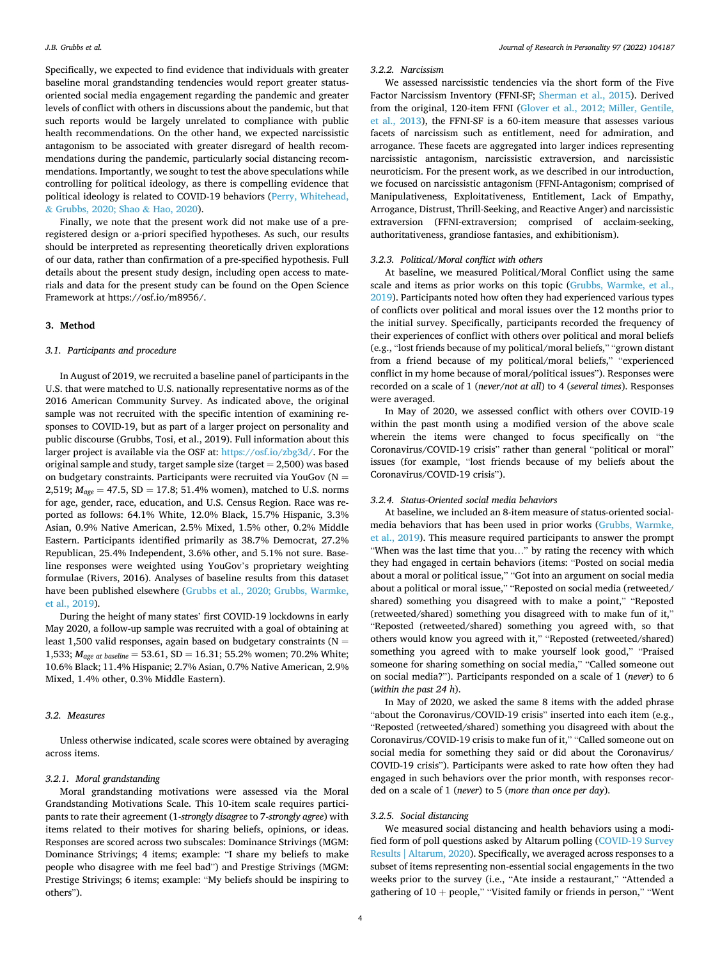Specifically, we expected to find evidence that individuals with greater baseline moral grandstanding tendencies would report greater statusoriented social media engagement regarding the pandemic and greater levels of conflict with others in discussions about the pandemic, but that such reports would be largely unrelated to compliance with public health recommendations. On the other hand, we expected narcissistic antagonism to be associated with greater disregard of health recommendations during the pandemic, particularly social distancing recommendations. Importantly, we sought to test the above speculations while controlling for political ideology, as there is compelling evidence that political ideology is related to COVID-19 behaviors ([Perry, Whitehead,](#page-9-0)  & [Grubbs, 2020; Shao](#page-9-0) & Hao, 2020).

Finally, we note that the present work did not make use of a preregistered design or a-priori specified hypotheses. As such, our results should be interpreted as representing theoretically driven explorations of our data, rather than confirmation of a pre-specified hypothesis. Full details about the present study design, including open access to materials and data for the present study can be found on the Open Science Framework at https://osf.io/m8956/.

# **3. Method**

### *3.1. Participants and procedure*

In August of 2019, we recruited a baseline panel of participants in the U.S. that were matched to U.S. nationally representative norms as of the 2016 American Community Survey. As indicated above, the original sample was not recruited with the specific intention of examining responses to COVID-19, but as part of a larger project on personality and public discourse (Grubbs, Tosi, et al., 2019). Full information about this larger project is available via the OSF at:<https://osf.io/zbg3d/>. For the original sample and study, target sample size (target  $= 2,500$ ) was based on budgetary constraints. Participants were recruited via YouGov ( $N =$ 2,519; *Mage* = 47.5, SD = 17.8; 51.4% women), matched to U.S. norms for age, gender, race, education, and U.S. Census Region. Race was reported as follows: 64.1% White, 12.0% Black, 15.7% Hispanic, 3.3% Asian, 0.9% Native American, 2.5% Mixed, 1.5% other, 0.2% Middle Eastern. Participants identified primarily as 38.7% Democrat, 27.2% Republican, 25.4% Independent, 3.6% other, and 5.1% not sure. Baseline responses were weighted using YouGov's proprietary weighting formulae (Rivers, 2016). Analyses of baseline results from this dataset have been published elsewhere ([Grubbs et al., 2020; Grubbs, Warmke,](#page-8-0)  [et al., 2019\)](#page-8-0).

During the height of many states' first COVID-19 lockdowns in early May 2020, a follow-up sample was recruited with a goal of obtaining at least 1,500 valid responses, again based on budgetary constraints ( $N =$ 1,533; *Mage at baseline* = 53.61, SD = 16.31; 55.2% women; 70.2% White; 10.6% Black; 11.4% Hispanic; 2.7% Asian, 0.7% Native American, 2.9% Mixed, 1.4% other, 0.3% Middle Eastern).

## *3.2. Measures*

Unless otherwise indicated, scale scores were obtained by averaging across items.

#### *3.2.1. Moral grandstanding*

Moral grandstanding motivations were assessed via the Moral Grandstanding Motivations Scale. This 10-item scale requires participants to rate their agreement (1-*strongly disagree* to 7-*strongly agree*) with items related to their motives for sharing beliefs, opinions, or ideas. Responses are scored across two subscales: Dominance Strivings (MGM: Dominance Strivings; 4 items; example: "I share my beliefs to make people who disagree with me feel bad") and Prestige Strivings (MGM: Prestige Strivings; 6 items; example: "My beliefs should be inspiring to others").

### *3.2.2. Narcissism*

We assessed narcissistic tendencies via the short form of the Five Factor Narcissism Inventory (FFNI-SF; [Sherman et al., 2015\)](#page-9-0). Derived from the original, 120-item FFNI ([Glover et al., 2012; Miller, Gentile,](#page-8-0)  [et al., 2013\)](#page-8-0), the FFNI-SF is a 60-item measure that assesses various facets of narcissism such as entitlement, need for admiration, and arrogance. These facets are aggregated into larger indices representing narcissistic antagonism, narcissistic extraversion, and narcissistic neuroticism. For the present work, as we described in our introduction, we focused on narcissistic antagonism (FFNI-Antagonism; comprised of Manipulativeness, Exploitativeness, Entitlement, Lack of Empathy, Arrogance, Distrust, Thrill-Seeking, and Reactive Anger) and narcissistic extraversion (FFNI-extraversion; comprised of acclaim-seeking, authoritativeness, grandiose fantasies, and exhibitionism).

## *3.2.3. Political/Moral conflict with others*

At baseline, we measured Political/Moral Conflict using the same scale and items as prior works on this topic ([Grubbs, Warmke, et al.,](#page-8-0)  [2019\)](#page-8-0). Participants noted how often they had experienced various types of conflicts over political and moral issues over the 12 months prior to the initial survey. Specifically, participants recorded the frequency of their experiences of conflict with others over political and moral beliefs (e.g., "lost friends because of my political/moral beliefs," "grown distant from a friend because of my political/moral beliefs," "experienced conflict in my home because of moral/political issues"). Responses were recorded on a scale of 1 (*never/not at all*) to 4 (*several times*). Responses were averaged.

In May of 2020, we assessed conflict with others over COVID-19 within the past month using a modified version of the above scale wherein the items were changed to focus specifically on "the Coronavirus/COVID-19 crisis" rather than general "political or moral" issues (for example, "lost friends because of my beliefs about the Coronavirus/COVID-19 crisis").

#### *3.2.4. Status-Oriented social media behaviors*

At baseline, we included an 8-item measure of status-oriented socialmedia behaviors that has been used in prior works ([Grubbs, Warmke,](#page-8-0)  [et al., 2019](#page-8-0)). This measure required participants to answer the prompt "When was the last time that you…" by rating the recency with which they had engaged in certain behaviors (items: "Posted on social media about a moral or political issue," "Got into an argument on social media about a political or moral issue," "Reposted on social media (retweeted/ shared) something you disagreed with to make a point," "Reposted (retweeted/shared) something you disagreed with to make fun of it," "Reposted (retweeted/shared) something you agreed with, so that others would know you agreed with it," "Reposted (retweeted/shared) something you agreed with to make yourself look good," "Praised someone for sharing something on social media," "Called someone out on social media?"). Participants responded on a scale of 1 (*never*) to 6 (*within the past 24 h*).

In May of 2020, we asked the same 8 items with the added phrase "about the Coronavirus/COVID-19 crisis" inserted into each item (e.g., "Reposted (retweeted/shared) something you disagreed with about the Coronavirus/COVID-19 crisis to make fun of it," "Called someone out on social media for something they said or did about the Coronavirus/ COVID-19 crisis"). Participants were asked to rate how often they had engaged in such behaviors over the prior month, with responses recorded on a scale of 1 (*never*) to 5 (*more than once per day*).

## *3.2.5. Social distancing*

We measured social distancing and health behaviors using a modified form of poll questions asked by Altarum polling [\(COVID-19 Survey](#page-8-0)  [Results | Altarum, 2020\)](#page-8-0). Specifically, we averaged across responses to a subset of items representing non-essential social engagements in the two weeks prior to the survey (i.e., "Ate inside a restaurant," "Attended a gathering of  $10 +$  people," "Visited family or friends in person," "Went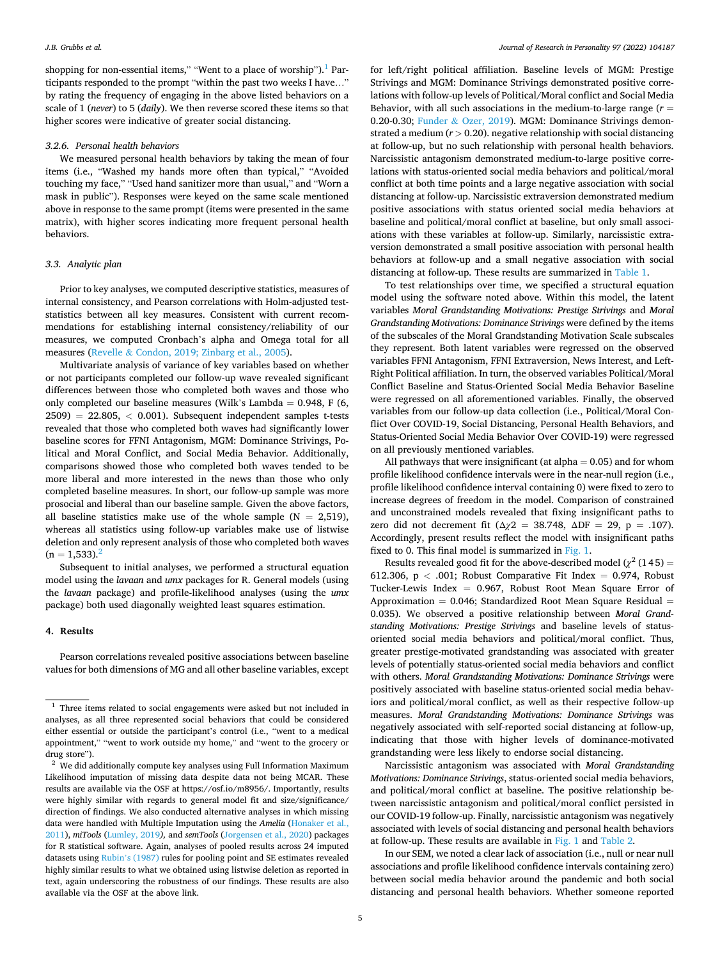shopping for non-essential items," "Went to a place of worship").<sup>1</sup> Participants responded to the prompt "within the past two weeks I have…" by rating the frequency of engaging in the above listed behaviors on a scale of 1 (*never*) to 5 (*daily*). We then reverse scored these items so that higher scores were indicative of greater social distancing.

### *3.2.6. Personal health behaviors*

We measured personal health behaviors by taking the mean of four items (i.e., "Washed my hands more often than typical," "Avoided touching my face," "Used hand sanitizer more than usual," and "Worn a mask in public"). Responses were keyed on the same scale mentioned above in response to the same prompt (items were presented in the same matrix), with higher scores indicating more frequent personal health behaviors.

# *3.3. Analytic plan*

Prior to key analyses, we computed descriptive statistics, measures of internal consistency, and Pearson correlations with Holm-adjusted teststatistics between all key measures. Consistent with current recommendations for establishing internal consistency/reliability of our measures, we computed Cronbach's alpha and Omega total for all measures (Revelle & [Condon, 2019; Zinbarg et al., 2005\)](#page-9-0).

Multivariate analysis of variance of key variables based on whether or not participants completed our follow-up wave revealed significant differences between those who completed both waves and those who only completed our baseline measures (Wilk's Lambda =  $0.948$ , F (6, 2509) = 22.805, *<* 0.001). Subsequent independent samples t-tests revealed that those who completed both waves had significantly lower baseline scores for FFNI Antagonism, MGM: Dominance Strivings, Political and Moral Conflict, and Social Media Behavior. Additionally, comparisons showed those who completed both waves tended to be more liberal and more interested in the news than those who only completed baseline measures. In short, our follow-up sample was more prosocial and liberal than our baseline sample. Given the above factors, all baseline statistics make use of the whole sample  $(N = 2,519)$ , whereas all statistics using follow-up variables make use of listwise deletion and only represent analysis of those who completed both waves  $(n = 1.533)$ .

Subsequent to initial analyses, we performed a structural equation model using the *lavaan* and *umx* packages for R. General models (using the *lavaan* package) and profile-likelihood analyses (using the *umx*  package) both used diagonally weighted least squares estimation.

#### **4. Results**

Pearson correlations revealed positive associations between baseline values for both dimensions of MG and all other baseline variables, except

for left/right political affiliation. Baseline levels of MGM: Prestige Strivings and MGM: Dominance Strivings demonstrated positive correlations with follow-up levels of Political/Moral conflict and Social Media Behavior, with all such associations in the medium-to-large range (*r* = 0.20-0.30; Funder & [Ozer, 2019\)](#page-8-0). MGM: Dominance Strivings demonstrated a medium (*r >* 0.20). negative relationship with social distancing at follow-up, but no such relationship with personal health behaviors. Narcissistic antagonism demonstrated medium-to-large positive correlations with status-oriented social media behaviors and political/moral conflict at both time points and a large negative association with social distancing at follow-up. Narcissistic extraversion demonstrated medium positive associations with status oriented social media behaviors at baseline and political/moral conflict at baseline, but only small associations with these variables at follow-up. Similarly, narcissistic extraversion demonstrated a small positive association with personal health behaviors at follow-up and a small negative association with social distancing at follow-up. These results are summarized in [Table 1](#page-5-0).

To test relationships over time, we specified a structural equation model using the software noted above. Within this model, the latent variables *Moral Grandstanding Motivations: Prestige Strivings* and *Moral Grandstanding Motivations: Dominance Strivings* were defined by the items of the subscales of the Moral Grandstanding Motivation Scale subscales they represent. Both latent variables were regressed on the observed variables FFNI Antagonism, FFNI Extraversion, News Interest, and Left-Right Political affiliation. In turn, the observed variables Political/Moral Conflict Baseline and Status-Oriented Social Media Behavior Baseline were regressed on all aforementioned variables. Finally, the observed variables from our follow-up data collection (i.e., Political/Moral Conflict Over COVID-19, Social Distancing, Personal Health Behaviors, and Status-Oriented Social Media Behavior Over COVID-19) were regressed on all previously mentioned variables.

All pathways that were insignificant (at alpha  $= 0.05$ ) and for whom profile likelihood confidence intervals were in the near-null region (i.e., profile likelihood confidence interval containing 0) were fixed to zero to increase degrees of freedom in the model. Comparison of constrained and unconstrained models revealed that fixing insignificant paths to zero did not decrement fit (Δ*χ*2 = 38.748, ΔDF = 29, p = .107). Accordingly, present results reflect the model with insignificant paths fixed to 0. This final model is summarized in [Fig. 1.](#page-6-0)

Results revealed good fit for the above-described model ( $\chi^2$  (145) = 612.306, p *<* .001; Robust Comparative Fit Index = 0.974, Robust Tucker-Lewis Index  $= 0.967$ , Robust Root Mean Square Error of Approximation  $= 0.046$ ; Standardized Root Mean Square Residual  $=$ 0.035). We observed a positive relationship between *Moral Grandstanding Motivations: Prestige Strivings* and baseline levels of statusoriented social media behaviors and political/moral conflict. Thus, greater prestige-motivated grandstanding was associated with greater levels of potentially status-oriented social media behaviors and conflict with others. *Moral Grandstanding Motivations: Dominance Strivings* were positively associated with baseline status-oriented social media behaviors and political/moral conflict, as well as their respective follow-up measures. *Moral Grandstanding Motivations: Dominance Strivings* was negatively associated with self-reported social distancing at follow-up, indicating that those with higher levels of dominance-motivated grandstanding were less likely to endorse social distancing.

Narcissistic antagonism was associated with *Moral Grandstanding Motivations: Dominance Strivings*, status-oriented social media behaviors, and political/moral conflict at baseline. The positive relationship between narcissistic antagonism and political/moral conflict persisted in our COVID-19 follow-up. Finally, narcissistic antagonism was negatively associated with levels of social distancing and personal health behaviors at follow-up. These results are available in [Fig. 1](#page-6-0) and [Table 2.](#page-6-0)

In our SEM, we noted a clear lack of association (i.e., null or near null associations and profile likelihood confidence intervals containing zero) between social media behavior around the pandemic and both social distancing and personal health behaviors. Whether someone reported

 $^{\rm 1}$  Three items related to social engagements were asked but not included in analyses, as all three represented social behaviors that could be considered either essential or outside the participant's control (i.e., "went to a medical appointment," "went to work outside my home," and "went to the grocery or drug store").  $^{\rm 2}$  We did additionally compute key analyses using Full Information Maximum

Likelihood imputation of missing data despite data not being MCAR. These results are available via the OSF at https://osf.io/m8956/. Importantly, results were highly similar with regards to general model fit and size/significance/ direction of findings. We also conducted alternative analyses in which missing data were handled with Multiple Imputation using the *Amelia* [\(Honaker et al.,](#page-8-0)  [2011\)](#page-8-0), *miTools* ([Lumley, 2019](#page-8-0)*),* and *semTools* [\(Jorgensen et al., 2020](#page-8-0)) packages for R statistical software. Again, analyses of pooled results across 24 imputed datasets using Rubin'[s \(1987\)](#page-9-0) rules for pooling point and SE estimates revealed highly similar results to what we obtained using listwise deletion as reported in text, again underscoring the robustness of our findings. These results are also available via the OSF at the above link.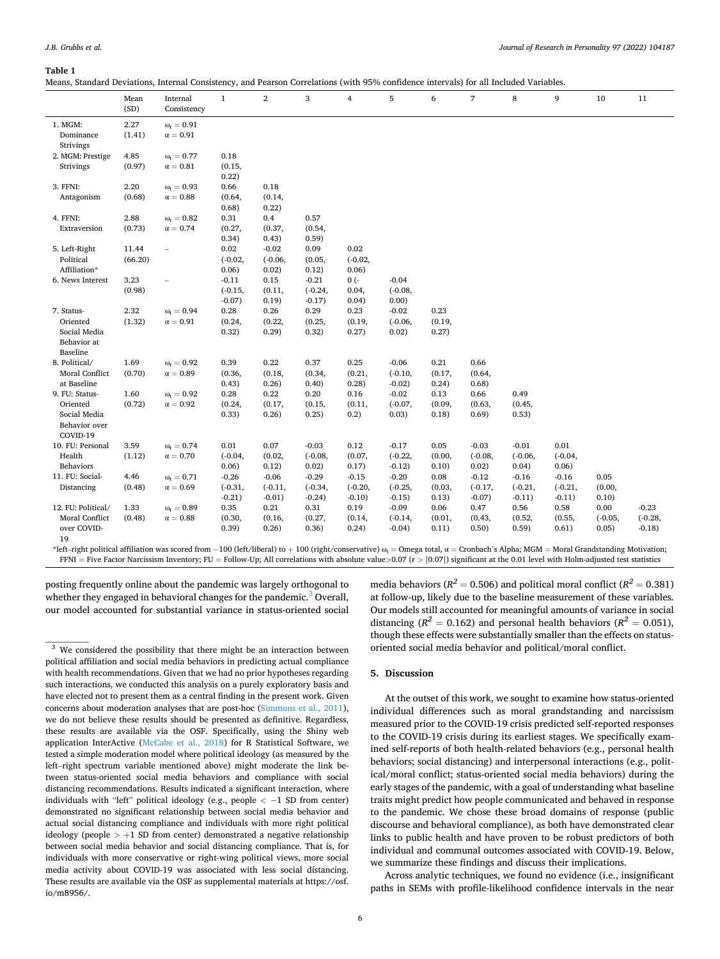#### <span id="page-5-0"></span>**Table 1**

Means, Standard Deviations, Internal Consistency, and Pearson Correlations (with 95% confidence intervals) for all Included Variables.

|                                                       | Mean<br>(SD)     | Internal<br>Consistency            | $\mathbf{1}$                      | 2                             | 3                                | 4                          | 5                             | 6               | $\overline{7}$         | 8                     | 9                     | 10                 | 11                   |
|-------------------------------------------------------|------------------|------------------------------------|-----------------------------------|-------------------------------|----------------------------------|----------------------------|-------------------------------|-----------------|------------------------|-----------------------|-----------------------|--------------------|----------------------|
| 1. MGM:<br>Dominance<br>Strivings                     | 2.27<br>(1.41)   | $\omega_t = 0.91$<br>$\alpha=0.91$ |                                   |                               |                                  |                            |                               |                 |                        |                       |                       |                    |                      |
| 2. MGM: Prestige                                      | 4.85             | $\omega_t = 0.77$                  | 0.18                              |                               |                                  |                            |                               |                 |                        |                       |                       |                    |                      |
| Strivings                                             | (0.97)           | $\alpha=0.81$                      | (0.15,<br>0.22)                   |                               |                                  |                            |                               |                 |                        |                       |                       |                    |                      |
| 3. FFNI:                                              | 2.20             | $\omega_t = 0.93$                  | 0.66                              | 0.18                          |                                  |                            |                               |                 |                        |                       |                       |                    |                      |
| Antagonism                                            | (0.68)           | $\alpha = 0.88$                    | (0.64,<br>0.68)                   | (0.14,<br>0.22)               |                                  |                            |                               |                 |                        |                       |                       |                    |                      |
| 4. FFNI:                                              | 2.88             | $\omega_t = 0.82$                  | 0.31                              | 0.4                           | 0.57                             |                            |                               |                 |                        |                       |                       |                    |                      |
| Extraversion                                          | (0.73)           | $\alpha=0.74$                      | (0.27,<br>0.34)                   | (0.37,<br>0.43)               | (0.54,<br>0.59)                  |                            |                               |                 |                        |                       |                       |                    |                      |
| 5. Left-Right<br>Political<br>Affiliation*            | 11.44<br>(66.20) | $\overline{\phantom{0}}$           | 0.02<br>$(-0.02,$<br>0.06)        | $-0.02$<br>$(-0.06,$<br>0.02) | 0.09<br>(0.05,<br>0.12)          | 0.02<br>$(-0.02,$<br>0.06) |                               |                 |                        |                       |                       |                    |                      |
| 6. News Interest                                      | 3.23<br>(0.98)   |                                    | $-0.11$<br>$(-0.15,$<br>$-0.07$ ) | 0.15<br>(0.11,<br>0.19)       | $-0.21$<br>$(-0.24,$<br>$-0.17)$ | $0(-$<br>0.04,<br>0.04)    | $-0.04$<br>$(-0.08,$<br>0.00) |                 |                        |                       |                       |                    |                      |
| 7. Status-                                            | 2.32             | $\omega_t = 0.94$                  | 0.28                              | 0.26                          | 0.29                             | 0.23                       | $-0.02$                       | 0.23            |                        |                       |                       |                    |                      |
| Oriented<br>Social Media<br>Behavior at<br>Baseline   | (1.32)           | $\alpha=0.91$                      | (0.24,<br>0.32)                   | (0.22,<br>0.29)               | (0.25,<br>0.32)                  | (0.19,<br>0.27)            | $(-0.06,$<br>0.02)            | (0.19,<br>0.27) |                        |                       |                       |                    |                      |
| 8. Political/                                         | 1.69             | $\omega_t = 0.92$                  | 0.39                              | 0.22                          | 0.37                             | 0.25                       | $-0.06$                       | 0.21            | 0.66                   |                       |                       |                    |                      |
| Moral Conflict<br>at Baseline                         | (0.70)           | $\alpha=0.89$                      | (0.36,<br>0.43)                   | (0.18,<br>0.26)               | (0.34,<br>0.40)                  | (0.21,<br>0.28)            | $(-0.10,$<br>$-0.02$          | (0.17,<br>0.24) | (0.64,<br>0.68)        |                       |                       |                    |                      |
| 9. FU: Status-                                        | 1.60             | $\omega_{t} = 0.92$                | 0.28                              | 0.22                          | 0.20                             | 0.16                       | $-0.02$                       | 0.13            | 0.66                   | 0.49                  |                       |                    |                      |
| Oriented<br>Social Media<br>Behavior over<br>COVID-19 | (0.72)           | $\alpha=0.92$                      | (0.24,<br>0.33)                   | (0.17,<br>0.26)               | (0.15,<br>0.25)                  | (0.11,<br>0.2)             | $(-0.07,$<br>0.03)            | (0.09,<br>0.18) | (0.63,<br>0.69)        | (0.45,<br>0.53)       |                       |                    |                      |
| 10. FU: Personal                                      | 3.59             | $\omega_{t} = 0.74$                | 0.01                              | 0.07                          | $-0.03$                          | 0.12                       | $-0.17$                       | 0.05            | $-0.03$                | $-0.01$               | 0.01                  |                    |                      |
| Health<br>Behaviors                                   | (1.12)           | $\alpha=0.70$                      | $(-0.04,$<br>0.06)                | (0.02,<br>0.12)               | $(-0.08,$<br>0.02)               | (0.07,<br>0.17)            | $(-0.22,$<br>$-0.12$          | (0.00,<br>0.10) | $(-0.08,$<br>0.02)     | $(-0.06,$<br>0.04)    | $(-0.04,$<br>0.06)    |                    |                      |
| 11. FU: Social-                                       | 4.46             | $\omega_t = 0.71$                  | $-0.26$                           | $-0.06$                       | $-0.29$                          | $-0.15$                    | $-0.20$                       | 0.08            | $-0.12$                | $-0.16$               | $-0.16$               | 0.05               |                      |
| Distancing                                            | (0.48)           | $\alpha=0.69$                      | $(-0.31,$<br>$-0.21)$             | $(-0.11,$<br>$-0.01)$         | $(-0.34,$<br>$-0.24)$            | $(-0.20,$<br>$-0.10$       | $(-0.25,$<br>$-0.15$          | (0.03,<br>0.13) | $(-0.17,$<br>$-0.07$ ) | $(-0.21,$<br>$-0.11)$ | $(-0.21,$<br>$-0.11)$ | (0.00,<br>0.10)    |                      |
| 12. FU: Political/                                    | 1.33             | $\omega_{\rm r} = 0.89$            | 0.35                              | 0.21                          | 0.31                             | 0.19                       | $-0.09$                       | 0.06            | 0.47                   | 0.56                  | 0.58                  | 0.00               | $-0.23$              |
| Moral Conflict<br>over COVID-<br>19                   | (0.48)           | $\alpha=0.88$                      | (0.30,<br>(0.39)                  | (0.16,<br>0.26)               | (0.27,<br>0.36)                  | (0.14,<br>0.24)            | $(-0.14,$<br>$-0.04$ )        | (0.01,<br>0.11) | (0.43,<br>0.50)        | (0.52,<br>(0.59)      | (0.55,<br>0.61)       | $(-0.05,$<br>0.05) | $(-0.28,$<br>$-0.18$ |

\*left–right political affiliation was scored from -100 (left/liberal) to +100 (right/conservative)  $\omega_t$  = Omega total,  $\alpha$  = Cronbach's Alpha; MGM = Moral Grandstanding Motivation; FFNI = Five Factor Narcissism Inventory; FU = Follow-Up; All correlations with absolute value*>*0.07 (r *>* |0.07|) significant at the 0.01 level with Holm-adjusted test statistics

posting frequently online about the pandemic was largely orthogonal to whether they engaged in behavioral changes for the pandemic.<sup>3</sup> Overall, our model accounted for substantial variance in status-oriented social

 $3$  We considered the possibility that there might be an interaction between political affiliation and social media behaviors in predicting actual compliance with health recommendations. Given that we had no prior hypotheses regarding such interactions, we conducted this analysis on a purely exploratory basis and have elected not to present them as a central finding in the present work. Given concerns about moderation analyses that are post-hoc ([Simmons et al., 2011\)](#page-9-0), we do not believe these results should be presented as definitive. Regardless, these results are available via the OSF. Specifically, using the Shiny web application InterActive ([McCabe et al., 2018](#page-8-0)) for R Statistical Software, we tested a simple moderation model where political ideology (as measured by the left–right spectrum variable mentioned above) might moderate the link between status-oriented social media behaviors and compliance with social distancing recommendations. Results indicated a significant interaction, where individuals with "left" political ideology (e.g., people *<* − 1 SD from center) demonstrated no significant relationship between social media behavior and actual social distancing compliance and individuals with more right political ideology (people  $> +1$  SD from center) demonstrated a negative relationship between social media behavior and social distancing compliance. That is, for individuals with more conservative or right-wing political views, more social media activity about COVID-19 was associated with less social distancing. These results are available via the OSF as supplemental materials at https://osf. io/m8956/.

media behaviors ( $R^2 = 0.506$ ) and political moral conflict ( $R^2 = 0.381$ ) at follow-up, likely due to the baseline measurement of these variables. Our models still accounted for meaningful amounts of variance in social distancing ( $R^2 = 0.162$ ) and personal health behaviors ( $R^2 = 0.051$ ), though these effects were substantially smaller than the effects on statusoriented social media behavior and political/moral conflict.

# **5. Discussion**

At the outset of this work, we sought to examine how status-oriented individual differences such as moral grandstanding and narcissism measured prior to the COVID-19 crisis predicted self-reported responses to the COVID-19 crisis during its earliest stages. We specifically examined self-reports of both health-related behaviors (e.g., personal health behaviors; social distancing) and interpersonal interactions (e.g., political/moral conflict; status-oriented social media behaviors) during the early stages of the pandemic, with a goal of understanding what baseline traits might predict how people communicated and behaved in response to the pandemic. We chose these broad domains of response (public discourse and behavioral compliance), as both have demonstrated clear links to public health and have proven to be robust predictors of both individual and communal outcomes associated with COVID-19. Below, we summarize these findings and discuss their implications.

Across analytic techniques, we found no evidence (i.e., insignificant paths in SEMs with profile-likelihood confidence intervals in the near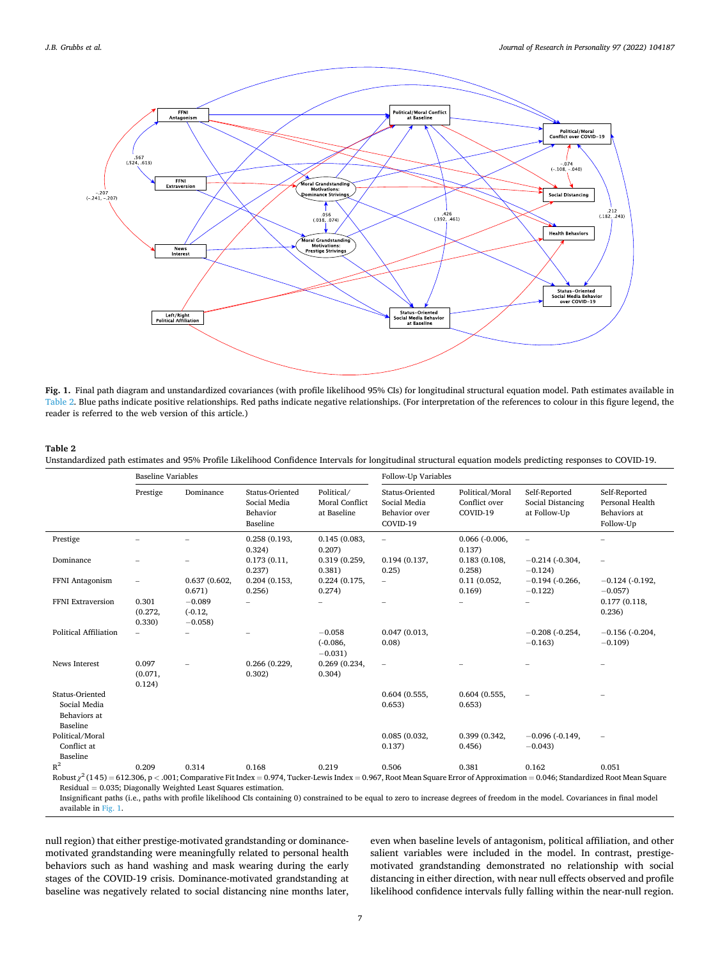<span id="page-6-0"></span>

**Fig. 1.** Final path diagram and unstandardized covariances (with profile likelihood 95% CIs) for longitudinal structural equation model. Path estimates available in Table 2. Blue paths indicate positive relationships. Red paths indicate negative relationships. (For interpretation of the references to colour in this figure legend, the reader is referred to the web version of this article.)

# **Table 2**

Unstandardized path estimates and 95% Profile Likelihood Confidence Intervals for longitudinal structural equation models predicting responses to COVID-19.

|                                                                                                                                                                                                                                                            | <b>Baseline Variables</b>  |                                   |                                                         |                                                    | Follow-Up Variables                                          |                                              |                                                    |                                                               |  |  |
|------------------------------------------------------------------------------------------------------------------------------------------------------------------------------------------------------------------------------------------------------------|----------------------------|-----------------------------------|---------------------------------------------------------|----------------------------------------------------|--------------------------------------------------------------|----------------------------------------------|----------------------------------------------------|---------------------------------------------------------------|--|--|
|                                                                                                                                                                                                                                                            | Prestige                   | Dominance                         | Status-Oriented<br>Social Media<br>Behavior<br>Baseline | Political/<br><b>Moral Conflict</b><br>at Baseline | Status-Oriented<br>Social Media<br>Behavior over<br>COVID-19 | Political/Moral<br>Conflict over<br>COVID-19 | Self-Reported<br>Social Distancing<br>at Follow-Up | Self-Reported<br>Personal Health<br>Behaviors at<br>Follow-Up |  |  |
| Prestige                                                                                                                                                                                                                                                   |                            |                                   | 0.258(0.193,<br>0.324)                                  | 0.145(0.083,<br>0.207)                             | $\overline{a}$                                               | $0.066$ $(-0.006,$<br>0.137)                 | $\overline{\phantom{m}}$                           |                                                               |  |  |
| Dominance                                                                                                                                                                                                                                                  |                            |                                   | 0.173(0.11,<br>0.237)                                   | 0.319 (0.259,<br>0.381)                            | 0.194(0.137,<br>0.25)                                        | 0.183(0.108,<br>0.258                        | $-0.214$ ( $-0.304$ )<br>$-0.124$                  |                                                               |  |  |
| FFNI Antagonism                                                                                                                                                                                                                                            |                            | 0.637(0.602,<br>0.671)            | 0.204(0.153,<br>0.256)                                  | 0.224(0.175,<br>0.274)                             | $\overline{\phantom{0}}$                                     | 0.11(0.052,<br>0.169                         | $-0.194$ ( $-0.266$ )<br>$-0.122$                  | $-0.124$ ( $-0.192$ )<br>$-0.057$                             |  |  |
| FFNI Extraversion                                                                                                                                                                                                                                          | 0.301<br>(0.272,<br>0.330) | $-0.089$<br>$(-0.12,$<br>$-0.058$ |                                                         |                                                    |                                                              |                                              |                                                    | 0.177(0.118,<br>0.236)                                        |  |  |
| <b>Political Affiliation</b>                                                                                                                                                                                                                               |                            |                                   |                                                         | $-0.058$<br>$(-0.086,$<br>$-0.031$ )               | 0.047(0.013,<br>0.08                                         |                                              | $-0.208$ ( $-0.254$ )<br>$-0.163$                  | $-0.156$ ( $-0.204$ )<br>$-0.109$                             |  |  |
| <b>News Interest</b>                                                                                                                                                                                                                                       | 0.097<br>(0.071,<br>0.124) |                                   | 0.266 (0.229,<br>0.302)                                 | 0.269(0.234,<br>0.304)                             | $\overline{\phantom{m}}$                                     |                                              |                                                    |                                                               |  |  |
| Status-Oriented<br>Social Media<br>Behaviors at<br>Baseline                                                                                                                                                                                                |                            |                                   |                                                         |                                                    | 0.604(0.555,<br>0.653)                                       | 0.604(0.555,<br>0.653)                       |                                                    |                                                               |  |  |
| Political/Moral<br>Conflict at<br>Baseline                                                                                                                                                                                                                 |                            |                                   |                                                         |                                                    | 0.085(0.032,<br>0.137)                                       | 0.399 (0.342,<br>0.456                       | $-0.096$ ( $-0.149$ )<br>$-0.043$                  |                                                               |  |  |
| $R^2$                                                                                                                                                                                                                                                      | 0.209                      | 0.314                             | 0.168                                                   | 0.219                                              | 0.506                                                        | 0.381                                        | 0.162                                              | 0.051                                                         |  |  |
| Robust $\chi^2$ (145) = 612.306, p < .001; Comparative Fit Index = 0.974, Tucker-Lewis Index = 0.967, Root Mean Square Error of Approximation = 0.046; Standardized Root Mean Square<br>Residual $= 0.035$ ; Diagonally Weighted Least Squares estimation. |                            |                                   |                                                         |                                                    |                                                              |                                              |                                                    |                                                               |  |  |

Insignificant paths (i.e., paths with profile likelihood CIs containing 0) constrained to be equal to zero to increase degrees of freedom in the model. Covariances in final model available in Fig. 1.

null region) that either prestige-motivated grandstanding or dominancemotivated grandstanding were meaningfully related to personal health behaviors such as hand washing and mask wearing during the early stages of the COVID-19 crisis. Dominance-motivated grandstanding at baseline was negatively related to social distancing nine months later,

even when baseline levels of antagonism, political affiliation, and other salient variables were included in the model. In contrast, prestigemotivated grandstanding demonstrated no relationship with social distancing in either direction, with near null effects observed and profile likelihood confidence intervals fully falling within the near-null region.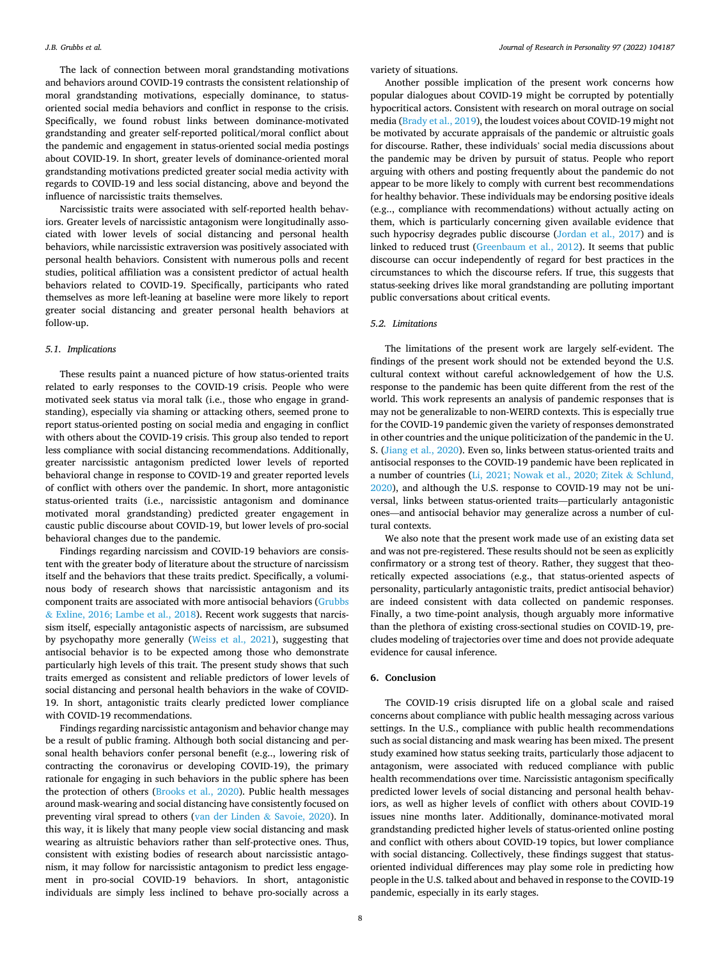The lack of connection between moral grandstanding motivations and behaviors around COVID-19 contrasts the consistent relationship of moral grandstanding motivations, especially dominance, to statusoriented social media behaviors and conflict in response to the crisis. Specifically, we found robust links between dominance-motivated grandstanding and greater self-reported political/moral conflict about the pandemic and engagement in status-oriented social media postings about COVID-19. In short, greater levels of dominance-oriented moral grandstanding motivations predicted greater social media activity with regards to COVID-19 and less social distancing, above and beyond the influence of narcissistic traits themselves.

Narcissistic traits were associated with self-reported health behaviors. Greater levels of narcissistic antagonism were longitudinally associated with lower levels of social distancing and personal health behaviors, while narcissistic extraversion was positively associated with personal health behaviors. Consistent with numerous polls and recent studies, political affiliation was a consistent predictor of actual health behaviors related to COVID-19. Specifically, participants who rated themselves as more left-leaning at baseline were more likely to report greater social distancing and greater personal health behaviors at follow-up.

## *5.1. Implications*

These results paint a nuanced picture of how status-oriented traits related to early responses to the COVID-19 crisis. People who were motivated seek status via moral talk (i.e., those who engage in grandstanding), especially via shaming or attacking others, seemed prone to report status-oriented posting on social media and engaging in conflict with others about the COVID-19 crisis. This group also tended to report less compliance with social distancing recommendations. Additionally, greater narcissistic antagonism predicted lower levels of reported behavioral change in response to COVID-19 and greater reported levels of conflict with others over the pandemic. In short, more antagonistic status-oriented traits (i.e., narcissistic antagonism and dominance motivated moral grandstanding) predicted greater engagement in caustic public discourse about COVID-19, but lower levels of pro-social behavioral changes due to the pandemic.

Findings regarding narcissism and COVID-19 behaviors are consistent with the greater body of literature about the structure of narcissism itself and the behaviors that these traits predict. Specifically, a voluminous body of research shows that narcissistic antagonism and its component traits are associated with more antisocial behaviors [\(Grubbs](#page-8-0)   $&$  [Exline, 2016; Lambe et al., 2018](#page-8-0)). Recent work suggests that narcissism itself, especially antagonistic aspects of narcissism, are subsumed by psychopathy more generally ([Weiss et al., 2021](#page-9-0)), suggesting that antisocial behavior is to be expected among those who demonstrate particularly high levels of this trait. The present study shows that such traits emerged as consistent and reliable predictors of lower levels of social distancing and personal health behaviors in the wake of COVID-19. In short, antagonistic traits clearly predicted lower compliance with COVID-19 recommendations.

Findings regarding narcissistic antagonism and behavior change may be a result of public framing. Although both social distancing and personal health behaviors confer personal benefit (e.g.., lowering risk of contracting the coronavirus or developing COVID-19), the primary rationale for engaging in such behaviors in the public sphere has been the protection of others [\(Brooks et al., 2020\)](#page-8-0). Public health messages around mask-wearing and social distancing have consistently focused on preventing viral spread to others [\(van der Linden](#page-9-0) & Savoie, 2020). In this way, it is likely that many people view social distancing and mask wearing as altruistic behaviors rather than self-protective ones. Thus, consistent with existing bodies of research about narcissistic antagonism, it may follow for narcissistic antagonism to predict less engagement in pro-social COVID-19 behaviors. In short, antagonistic individuals are simply less inclined to behave pro-socially across a

variety of situations.

Another possible implication of the present work concerns how popular dialogues about COVID-19 might be corrupted by potentially hypocritical actors. Consistent with research on moral outrage on social media ([Brady et al., 2019](#page-8-0)), the loudest voices about COVID-19 might not be motivated by accurate appraisals of the pandemic or altruistic goals for discourse. Rather, these individuals' social media discussions about the pandemic may be driven by pursuit of status. People who report arguing with others and posting frequently about the pandemic do not appear to be more likely to comply with current best recommendations for healthy behavior. These individuals may be endorsing positive ideals (e.g.., compliance with recommendations) without actually acting on them, which is particularly concerning given available evidence that such hypocrisy degrades public discourse [\(Jordan et al., 2017\)](#page-8-0) and is linked to reduced trust [\(Greenbaum et al., 2012\)](#page-8-0). It seems that public discourse can occur independently of regard for best practices in the circumstances to which the discourse refers. If true, this suggests that status-seeking drives like moral grandstanding are polluting important public conversations about critical events.

# *5.2. Limitations*

The limitations of the present work are largely self-evident. The findings of the present work should not be extended beyond the U.S. cultural context without careful acknowledgement of how the U.S. response to the pandemic has been quite different from the rest of the world. This work represents an analysis of pandemic responses that is may not be generalizable to non-WEIRD contexts. This is especially true for the COVID-19 pandemic given the variety of responses demonstrated in other countries and the unique politicization of the pandemic in the U. S. [\(Jiang et al., 2020\)](#page-8-0). Even so, links between status-oriented traits and antisocial responses to the COVID-19 pandemic have been replicated in a number of countries ([Li, 2021; Nowak et al., 2020; Zitek](#page-8-0) & Schlund, [2020\)](#page-8-0), and although the U.S. response to COVID-19 may not be universal, links between status-oriented traits—particularly antagonistic ones—and antisocial behavior may generalize across a number of cultural contexts.

We also note that the present work made use of an existing data set and was not pre-registered. These results should not be seen as explicitly confirmatory or a strong test of theory. Rather, they suggest that theoretically expected associations (e.g., that status-oriented aspects of personality, particularly antagonistic traits, predict antisocial behavior) are indeed consistent with data collected on pandemic responses. Finally, a two time-point analysis, though arguably more informative than the plethora of existing cross-sectional studies on COVID-19, precludes modeling of trajectories over time and does not provide adequate evidence for causal inference.

# **6. Conclusion**

The COVID-19 crisis disrupted life on a global scale and raised concerns about compliance with public health messaging across various settings. In the U.S., compliance with public health recommendations such as social distancing and mask wearing has been mixed. The present study examined how status seeking traits, particularly those adjacent to antagonism, were associated with reduced compliance with public health recommendations over time. Narcissistic antagonism specifically predicted lower levels of social distancing and personal health behaviors, as well as higher levels of conflict with others about COVID-19 issues nine months later. Additionally, dominance-motivated moral grandstanding predicted higher levels of status-oriented online posting and conflict with others about COVID-19 topics, but lower compliance with social distancing. Collectively, these findings suggest that statusoriented individual differences may play some role in predicting how people in the U.S. talked about and behaved in response to the COVID-19 pandemic, especially in its early stages.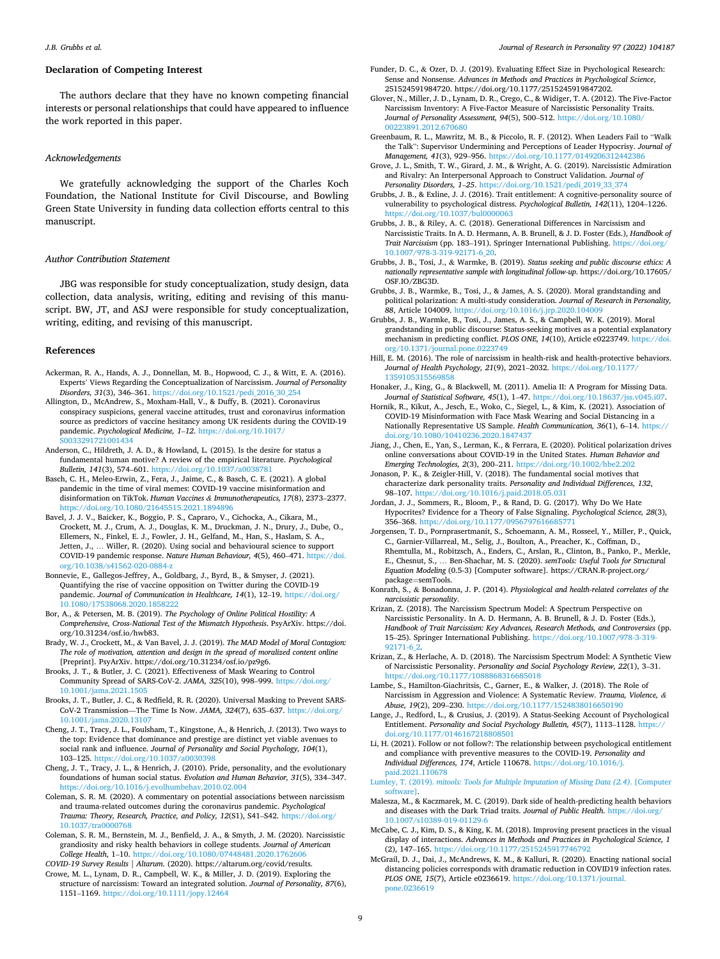## <span id="page-8-0"></span>**Declaration of Competing Interest**

The authors declare that they have no known competing financial interests or personal relationships that could have appeared to influence the work reported in this paper.

## *Acknowledgements*

We gratefully acknowledging the support of the Charles Koch Foundation, the National Institute for Civil Discourse, and Bowling Green State University in funding data collection efforts central to this manuscript.

## *Author Contribution Statement*

JBG was responsible for study conceptualization, study design, data collection, data analysis, writing, editing and revising of this manuscript. BW, JT, and ASJ were responsible for study conceptualization, writing, editing, and revising of this manuscript.

#### **References**

- Ackerman, R. A., Hands, A. J., Donnellan, M. B., Hopwood, C. J., & Witt, E. A. (2016). Experts' Views Regarding the Conceptualization of Narcissism. *Journal of Personality Disorders, 31*(3), 346–361. [https://doi.org/10.1521/pedi\\_2016\\_30\\_254](https://doi.org/10.1521/pedi_2016_30_254)
- Allington, D., McAndrew, S., Moxham-Hall, V., & Duffy, B. (2021). Coronavirus conspiracy suspicions, general vaccine attitudes, trust and coronavirus information source as predictors of vaccine hesitancy among UK residents during the COVID-19 pandemic. *Psychological Medicine, 1*–*12*. [https://doi.org/10.1017/](https://doi.org/10.1017/S0033291721001434) [S0033291721001434](https://doi.org/10.1017/S0033291721001434)
- Anderson, C., Hildreth, J. A. D., & Howland, L. (2015). Is the desire for status a fundamental human motive? A review of the empirical literature. *Psychological Bulletin, 141*(3), 574–601.<https://doi.org/10.1037/a0038781>
- Basch, C. H., Meleo-Erwin, Z., Fera, J., Jaime, C., & Basch, C. E. (2021). A global pandemic in the time of viral memes: COVID-19 vaccine misinformation and disinformation on TikTok. *Human Vaccines & Immunotherapeutics, 17*(8), 2373–2377. <https://doi.org/10.1080/21645515.2021.1894896>
- Bavel, J. J. V., Baicker, K., Boggio, P. S., Capraro, V., Cichocka, A., Cikara, M., Crockett, M. J., Crum, A. J., Douglas, K. M., Druckman, J. N., Drury, J., Dube, O., Ellemers, N., Finkel, E. J., Fowler, J. H., Gelfand, M., Han, S., Haslam, S. A., Jetten, J., … Willer, R. (2020). Using social and behavioural science to support COVID-19 pandemic response. *Nature Human Behaviour, 4*(5), 460–471. [https://doi.](https://doi.org/10.1038/s41562-020-0884-z)  [org/10.1038/s41562-020-0884-z](https://doi.org/10.1038/s41562-020-0884-z)
- Bonnevie, E., Gallegos-Jeffrey, A., Goldbarg, J., Byrd, B., & Smyser, J. (2021). Quantifying the rise of vaccine opposition on Twitter during the COVID-19 pandemic. *Journal of Communication in Healthcare, 14*(1), 12–19. [https://doi.org/](https://doi.org/10.1080/17538068.2020.1858222) [10.1080/17538068.2020.1858222](https://doi.org/10.1080/17538068.2020.1858222)
- Bor, A., & Petersen, M. B. (2019). *The Psychology of Online Political Hostility: A Comprehensive, Cross-National Test of the Mismatch Hypothesis*. PsyArXiv. https://doi. org/10.31234/osf.io/hwb83.
- Brady, W. J., Crockett, M., & Van Bavel, J. J. (2019). *The MAD Model of Moral Contagion: The role of motivation, attention and design in the spread of moralized content online*  [Preprint]. PsyArXiv. https://doi.org/10.31234/osf.io/pz9g6.
- Brooks, J. T., & Butler, J. C. (2021). Effectiveness of Mask Wearing to Control Community Spread of SARS-CoV-2. *JAMA, 325*(10), 998–999. [https://doi.org/](https://doi.org/10.1001/jama.2021.1505)  [10.1001/jama.2021.1505](https://doi.org/10.1001/jama.2021.1505)
- Brooks, J. T., Butler, J. C., & Redfield, R. R. (2020). Universal Masking to Prevent SARS-CoV-2 Transmission—The Time Is Now. *JAMA, 324*(7), 635–637. [https://doi.org/](https://doi.org/10.1001/jama.2020.13107) [10.1001/jama.2020.13107](https://doi.org/10.1001/jama.2020.13107)
- Cheng, J. T., Tracy, J. L., Foulsham, T., Kingstone, A., & Henrich, J. (2013). Two ways to the top: Evidence that dominance and prestige are distinct yet viable avenues to social rank and influence. *Journal of Personality and Social Psychology, 104*(1), 103–125. <https://doi.org/10.1037/a0030398>
- Cheng, J. T., Tracy, J. L., & Henrich, J. (2010). Pride, personality, and the evolutionary foundations of human social status. *Evolution and Human Behavior, 31*(5), 334–347. <https://doi.org/10.1016/j.evolhumbehav.2010.02.004>
- Coleman, S. R. M. (2020). A commentary on potential associations between narcissism and trauma-related outcomes during the coronavirus pandemic. *Psychological Trauma: Theory, Research, Practice, and Policy, 12*(S1), S41–S42. [https://doi.org/](https://doi.org/10.1037/tra0000768) [10.1037/tra0000768](https://doi.org/10.1037/tra0000768)
- Coleman, S. R. M., Bernstein, M. J., Benfield, J. A., & Smyth, J. M. (2020). Narcissistic grandiosity and risky health behaviors in college students. *Journal of American College Health*, 1–10. <https://doi.org/10.1080/07448481.2020.1762606> *COVID-19 Survey Results | Altarum*. (2020). https://altarum.org/covid/results.
- Crowe, M. L., Lynam, D. R., Campbell, W. K., & Miller, J. D. (2019). Exploring the structure of narcissism: Toward an integrated solution. *Journal of Personality, 87*(6), 1151–1169.<https://doi.org/10.1111/jopy.12464>
- Funder, D. C., & Ozer, D. J. (2019). Evaluating Effect Size in Psychological Research: Sense and Nonsense. *Advances in Methods and Practices in Psychological Science*, 251524591984720. https://doi.org/10.1177/2515245919847202.
- Glover, N., Miller, J. D., Lynam, D. R., Crego, C., & Widiger, T. A. (2012). The Five-Factor Narcissism Inventory: A Five-Factor Measure of Narcissistic Personality Traits. *Journal of Personality Assessment, 94*(5), 500–512. [https://doi.org/10.1080/](https://doi.org/10.1080/00223891.2012.670680) [00223891.2012.670680](https://doi.org/10.1080/00223891.2012.670680)
- Greenbaum, R. L., Mawritz, M. B., & Piccolo, R. F. (2012). When Leaders Fail to "Walk the Talk": Supervisor Undermining and Perceptions of Leader Hypocrisy. *Journal of Management, 41*(3), 929–956. <https://doi.org/10.1177/0149206312442386>
- Grove, J. L., Smith, T. W., Girard, J. M., & Wright, A. G. (2019). Narcissistic Admiration and Rivalry: An Interpersonal Approach to Construct Validation. *Journal of Personality Disorders, 1*–*25*. [https://doi.org/10.1521/pedi\\_2019\\_33\\_374](https://doi.org/10.1521/pedi_2019_33_374)
- Grubbs, J. B., & Exline, J. J. (2016). Trait entitlement: A cognitive-personality source of vulnerability to psychological distress. *Psychological Bulletin, 142*(11), 1204–1226. <https://doi.org/10.1037/bul0000063>
- Grubbs, J. B., & Riley, A. C. (2018). Generational Differences in Narcissism and Narcissistic Traits. In A. D. Hermann, A. B. Brunell, & J. D. Foster (Eds.), *Handbook of Trait Narcissism* (pp. 183–191). Springer International Publishing. [https://doi.org/](https://doi.org/10.1007/978-3-319-92171-6_20)  [10.1007/978-3-319-92171-6\\_20](https://doi.org/10.1007/978-3-319-92171-6_20).
- Grubbs, J. B., Tosi, J., & Warmke, B. (2019). *Status seeking and public discourse ethics: A nationally representative sample with longitudinal follow-up*. https://doi.org/10.17605/ OSF.IO/ZBG3D.
- Grubbs, J. B., Warmke, B., Tosi, J., & James, A. S. (2020). Moral grandstanding and political polarization: A multi-study consideration. *Journal of Research in Personality, 88*, Article 104009. <https://doi.org/10.1016/j.jrp.2020.104009>
- Grubbs, J. B., Warmke, B., Tosi, J., James, A. S., & Campbell, W. K. (2019). Moral grandstanding in public discourse: Status-seeking motives as a potential explanatory mechanism in predicting conflict. *PLOS ONE, 14*(10), Article e0223749. [https://doi.](https://doi.org/10.1371/journal.pone.0223749)  [org/10.1371/journal.pone.0223749](https://doi.org/10.1371/journal.pone.0223749)
- Hill, E. M. (2016). The role of narcissism in health-risk and health-protective behaviors. *Journal of Health Psychology, 21*(9), 2021–2032. [https://doi.org/10.1177/](https://doi.org/10.1177/1359105315569858) [1359105315569858](https://doi.org/10.1177/1359105315569858)
- Honaker, J., King, G., & Blackwell, M. (2011). Amelia II: A Program for Missing Data. *Journal of Statistical Software, 45(1), 1-47. https://doi.org/10.18637/jss.v0*
- Hornik, R., Kikut, A., Jesch, E., Woko, C., Siegel, L., & Kim, K. (2021). Association of COVID-19 Misinformation with Face Mask Wearing and Social Distancing in a Nationally Representative US Sample. *Health Communication, 36*(1), 6–14. [https://](https://doi.org/10.1080/10410236.2020.1847437) [doi.org/10.1080/10410236.2020.1847437](https://doi.org/10.1080/10410236.2020.1847437)
- Jiang, J., Chen, E., Yan, S., Lerman, K., & Ferrara, E. (2020). Political polarization drives online conversations about COVID-19 in the United States. *Human Behavior and Emerging Technologies, 2*(3), 200–211. <https://doi.org/10.1002/hbe2.202>
- Jonason, P. K., & Zeigler-Hill, V. (2018). The fundamental social motives that characterize dark personality traits. *Personality and Individual Differences, 132*, 98–107. <https://doi.org/10.1016/j.paid.2018.05.031>
- Jordan, J. J., Sommers, R., Bloom, P., & Rand, D. G. (2017). Why Do We Hate Hypocrites? Evidence for a Theory of False Signaling. *Psychological Science, 28*(3), 356–368. https://doi.org/10.1177/0956797616685
- Jorgensen, T. D., Pornprasertmanit, S., Schoemann, A. M., Rosseel, Y., Miller, P., Quick, C., Garnier-Villarreal, M., Selig, J., Boulton, A., Preacher, K., Coffman, D., Rhemtulla, M., Robitzsch, A., Enders, C., Arslan, R., Clinton, B., Panko, P., Merkle, E., Chesnut, S., … Ben-Shachar, M. S. (2020). *semTools: Useful Tools for Structural Equation Modeling* (0.5-3) [Computer software]. https://CRAN.R-project.org/ package=semTools.
- Konrath, S., & Bonadonna, J. P. (2014). *Physiological and health-related correlates of the narcissistic personality*.
- Krizan, Z. (2018). The Narcissism Spectrum Model: A Spectrum Perspective on Narcissistic Personality. In A. D. Hermann, A. B. Brunell, & J. D. Foster (Eds.), *Handbook of Trait Narcissism: Key Advances, Research Methods, and Controversies* (pp. 15–25). Springer International Publishing. [https://doi.org/10.1007/978-3-319-](https://doi.org/10.1007/978-3-319-92171-6_2)  [92171-6\\_2.](https://doi.org/10.1007/978-3-319-92171-6_2)
- Krizan, Z., & Herlache, A. D. (2018). The Narcissism Spectrum Model: A Synthetic View of Narcissistic Personality. *Personality and Social Psychology Review, 22*(1), 3–31. <https://doi.org/10.1177/1088868316685018>
- Lambe, S., Hamilton-Giachritsis, C., Garner, E., & Walker, J. (2018). The Role of Narcissism in Aggression and Violence: A Systematic Review. *Trauma, Violence, & Abuse, 19*(2), 209–230.<https://doi.org/10.1177/1524838016650190>
- Lange, J., Redford, L., & Crusius, J. (2019). A Status-Seeking Account of Psychological Entitlement. *Personality and Social Psychology Bulletin, 45*(7), 1113–1128. [https://](https://doi.org/10.1177/0146167218808501) [doi.org/10.1177/0146167218808501](https://doi.org/10.1177/0146167218808501)
- Li, H. (2021). Follow or not follow?: The relationship between psychological entitlement and compliance with preventive measures to the COVID-19. *Personality and Individual Differences, 174*, Article 110678. [https://doi.org/10.1016/j.](https://doi.org/10.1016/j.paid.2021.110678) [paid.2021.110678](https://doi.org/10.1016/j.paid.2021.110678)

Lumley, T. (2019). *[mitools: Tools for Multiple Imputation of Missing Data \(2.4\)](http://refhub.elsevier.com/S0092-6566(21)00124-0/h0195)*. [Computer [software\]](http://refhub.elsevier.com/S0092-6566(21)00124-0/h0195).

- Malesza, M., & Kaczmarek, M. C. (2019). Dark side of health-predicting health behaviors and diseases with the Dark Triad traits. *Journal of Public Health*. [https://doi.org/](https://doi.org/10.1007/s10389-019-01129-6) [10.1007/s10389-019-01129-6](https://doi.org/10.1007/s10389-019-01129-6)
- McCabe, C. J., Kim, D. S., & King, K. M. (2018). Improving present practices in the visual display of interactions. *Advances in Methods and Practices in Psychological Science, 1*  (2), 147–165.<https://doi.org/10.1177/2515245917746792>
- McGrail, D. J., Dai, J., McAndrews, K. M., & Kalluri, R. (2020). Enacting national social distancing policies corresponds with dramatic reduction in COVID19 infection rates. *PLOS ONE, 15*(7), Article e0236619. [https://doi.org/10.1371/journal.](https://doi.org/10.1371/journal.pone.0236619) [pone.0236619](https://doi.org/10.1371/journal.pone.0236619)